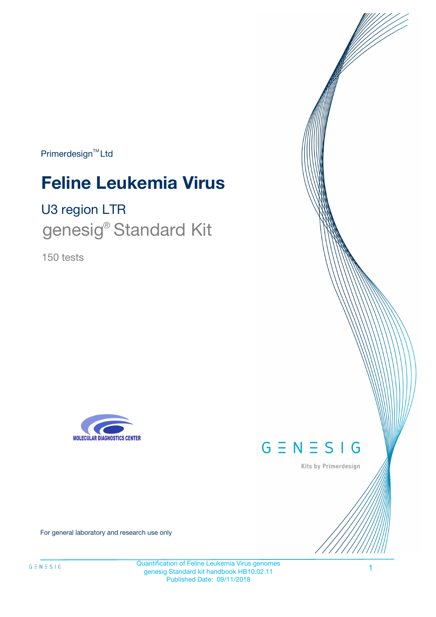Primerdesign<sup>™</sup>Ltd

# **Feline Leukemia Virus**

U3 region LTR genesig<sup>®</sup> Standard Kit

150 tests





Kits by Primerdesign

For general laboratory and research use only

Quantification of Feline Leukemia Virus genomes genesig Standard kit handbook HB10.02.11 Published Date: 09/11/2018

1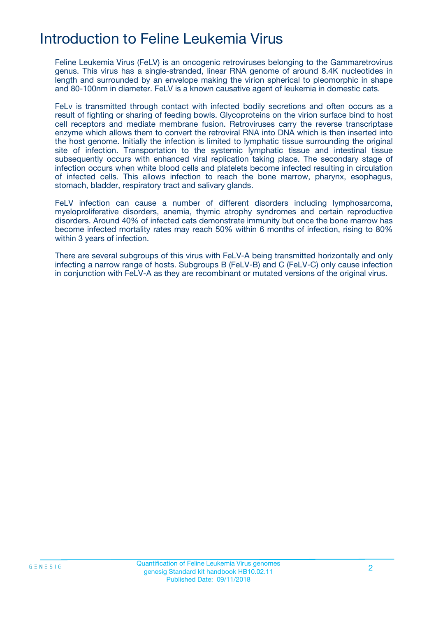# Introduction to Feline Leukemia Virus

Feline Leukemia Virus (FeLV) is an oncogenic retroviruses belonging to the Gammaretrovirus genus. This virus has a single-stranded, linear RNA genome of around 8.4K nucleotides in length and surrounded by an envelope making the virion spherical to pleomorphic in shape and 80-100nm in diameter. FeLV is a known causative agent of leukemia in domestic cats.

FeLv is transmitted through contact with infected bodily secretions and often occurs as a result of fighting or sharing of feeding bowls. Glycoproteins on the virion surface bind to host cell receptors and mediate membrane fusion. Retroviruses carry the reverse transcriptase enzyme which allows them to convert the retroviral RNA into DNA which is then inserted into the host genome. Initially the infection is limited to lymphatic tissue surrounding the original site of infection. Transportation to the systemic lymphatic tissue and intestinal tissue subsequently occurs with enhanced viral replication taking place. The secondary stage of infection occurs when white blood cells and platelets become infected resulting in circulation of infected cells. This allows infection to reach the bone marrow, pharynx, esophagus, stomach, bladder, respiratory tract and salivary glands.

FeLV infection can cause a number of different disorders including lymphosarcoma, myeloproliferative disorders, anemia, thymic atrophy syndromes and certain reproductive disorders. Around 40% of infected cats demonstrate immunity but once the bone marrow has become infected mortality rates may reach 50% within 6 months of infection, rising to 80% within 3 years of infection.

There are several subgroups of this virus with FeLV-A being transmitted horizontally and only infecting a narrow range of hosts. Subgroups B (FeLV-B) and C (FeLV-C) only cause infection in conjunction with FeLV-A as they are recombinant or mutated versions of the original virus.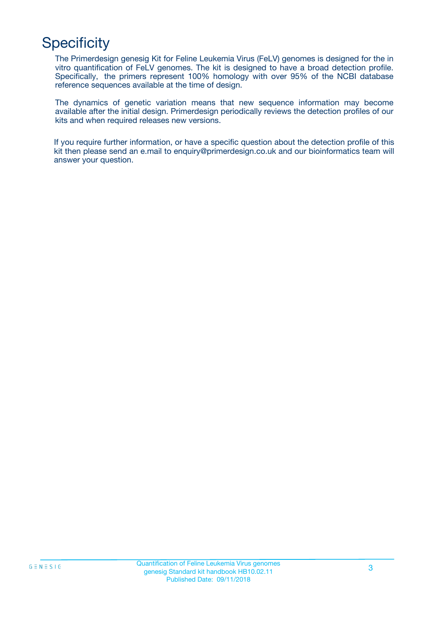# **Specificity**

The Primerdesign genesig Kit for Feline Leukemia Virus (FeLV) genomes is designed for the in vitro quantification of FeLV genomes. The kit is designed to have a broad detection profile. Specifically, the primers represent 100% homology with over 95% of the NCBI database reference sequences available at the time of design.

The dynamics of genetic variation means that new sequence information may become available after the initial design. Primerdesign periodically reviews the detection profiles of our kits and when required releases new versions.

If you require further information, or have a specific question about the detection profile of this kit then please send an e.mail to enquiry@primerdesign.co.uk and our bioinformatics team will answer your question.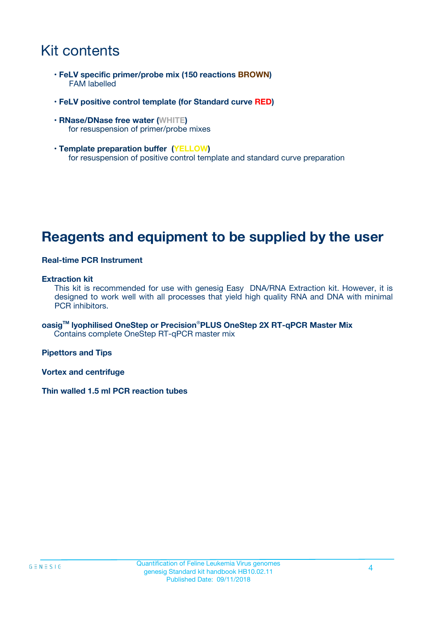# Kit contents

- **FeLV specific primer/probe mix (150 reactions BROWN)** FAM labelled
- **FeLV positive control template (for Standard curve RED)**
- **RNase/DNase free water (WHITE)** for resuspension of primer/probe mixes
- **Template preparation buffer (YELLOW)** for resuspension of positive control template and standard curve preparation

## **Reagents and equipment to be supplied by the user**

#### **Real-time PCR Instrument**

#### **Extraction kit**

This kit is recommended for use with genesig Easy DNA/RNA Extraction kit. However, it is designed to work well with all processes that yield high quality RNA and DNA with minimal PCR inhibitors.

**oasigTM lyophilised OneStep or Precision**®**PLUS OneStep 2X RT-qPCR Master Mix** Contains complete OneStep RT-qPCR master mix

**Pipettors and Tips**

**Vortex and centrifuge**

**Thin walled 1.5 ml PCR reaction tubes**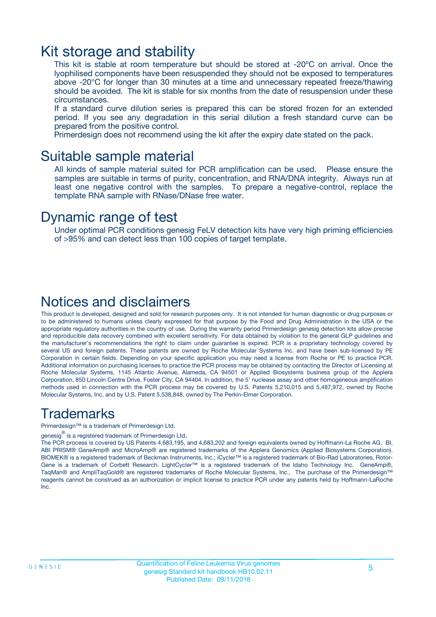### Kit storage and stability

This kit is stable at room temperature but should be stored at -20ºC on arrival. Once the lyophilised components have been resuspended they should not be exposed to temperatures above -20°C for longer than 30 minutes at a time and unnecessary repeated freeze/thawing should be avoided. The kit is stable for six months from the date of resuspension under these circumstances.

If a standard curve dilution series is prepared this can be stored frozen for an extended period. If you see any degradation in this serial dilution a fresh standard curve can be prepared from the positive control.

Primerdesign does not recommend using the kit after the expiry date stated on the pack.

### Suitable sample material

All kinds of sample material suited for PCR amplification can be used. Please ensure the samples are suitable in terms of purity, concentration, and RNA/DNA integrity. Always run at least one negative control with the samples. To prepare a negative-control, replace the template RNA sample with RNase/DNase free water.

### Dynamic range of test

Under optimal PCR conditions genesig FeLV detection kits have very high priming efficiencies of >95% and can detect less than 100 copies of target template.

### Notices and disclaimers

This product is developed, designed and sold for research purposes only. It is not intended for human diagnostic or drug purposes or to be administered to humans unless clearly expressed for that purpose by the Food and Drug Administration in the USA or the appropriate regulatory authorities in the country of use. During the warranty period Primerdesign genesig detection kits allow precise and reproducible data recovery combined with excellent sensitivity. For data obtained by violation to the general GLP guidelines and the manufacturer's recommendations the right to claim under guarantee is expired. PCR is a proprietary technology covered by several US and foreign patents. These patents are owned by Roche Molecular Systems Inc. and have been sub-licensed by PE Corporation in certain fields. Depending on your specific application you may need a license from Roche or PE to practice PCR. Additional information on purchasing licenses to practice the PCR process may be obtained by contacting the Director of Licensing at Roche Molecular Systems, 1145 Atlantic Avenue, Alameda, CA 94501 or Applied Biosystems business group of the Applera Corporation, 850 Lincoln Centre Drive, Foster City, CA 94404. In addition, the 5' nuclease assay and other homogeneous amplification methods used in connection with the PCR process may be covered by U.S. Patents 5,210,015 and 5,487,972, owned by Roche Molecular Systems, Inc, and by U.S. Patent 5,538,848, owned by The Perkin-Elmer Corporation.

### Trademarks

Primerdesign™ is a trademark of Primerdesign Ltd.

genesig $^\circledR$  is a registered trademark of Primerdesign Ltd.

The PCR process is covered by US Patents 4,683,195, and 4,683,202 and foreign equivalents owned by Hoffmann-La Roche AG. BI, ABI PRISM® GeneAmp® and MicroAmp® are registered trademarks of the Applera Genomics (Applied Biosystems Corporation). BIOMEK® is a registered trademark of Beckman Instruments, Inc.; iCycler™ is a registered trademark of Bio-Rad Laboratories, Rotor-Gene is a trademark of Corbett Research. LightCycler™ is a registered trademark of the Idaho Technology Inc. GeneAmp®, TaqMan® and AmpliTaqGold® are registered trademarks of Roche Molecular Systems, Inc., The purchase of the Primerdesign™ reagents cannot be construed as an authorization or implicit license to practice PCR under any patents held by Hoffmann-LaRoche Inc.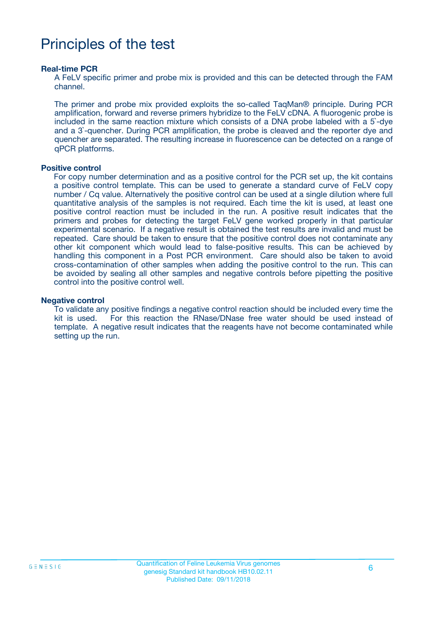# Principles of the test

#### **Real-time PCR**

A FeLV specific primer and probe mix is provided and this can be detected through the FAM channel.

The primer and probe mix provided exploits the so-called TaqMan® principle. During PCR amplification, forward and reverse primers hybridize to the FeLV cDNA. A fluorogenic probe is included in the same reaction mixture which consists of a DNA probe labeled with a 5`-dye and a 3`-quencher. During PCR amplification, the probe is cleaved and the reporter dye and quencher are separated. The resulting increase in fluorescence can be detected on a range of qPCR platforms.

#### **Positive control**

For copy number determination and as a positive control for the PCR set up, the kit contains a positive control template. This can be used to generate a standard curve of FeLV copy number / Cq value. Alternatively the positive control can be used at a single dilution where full quantitative analysis of the samples is not required. Each time the kit is used, at least one positive control reaction must be included in the run. A positive result indicates that the primers and probes for detecting the target FeLV gene worked properly in that particular experimental scenario. If a negative result is obtained the test results are invalid and must be repeated. Care should be taken to ensure that the positive control does not contaminate any other kit component which would lead to false-positive results. This can be achieved by handling this component in a Post PCR environment. Care should also be taken to avoid cross-contamination of other samples when adding the positive control to the run. This can be avoided by sealing all other samples and negative controls before pipetting the positive control into the positive control well.

#### **Negative control**

To validate any positive findings a negative control reaction should be included every time the kit is used. For this reaction the RNase/DNase free water should be used instead of template. A negative result indicates that the reagents have not become contaminated while setting up the run.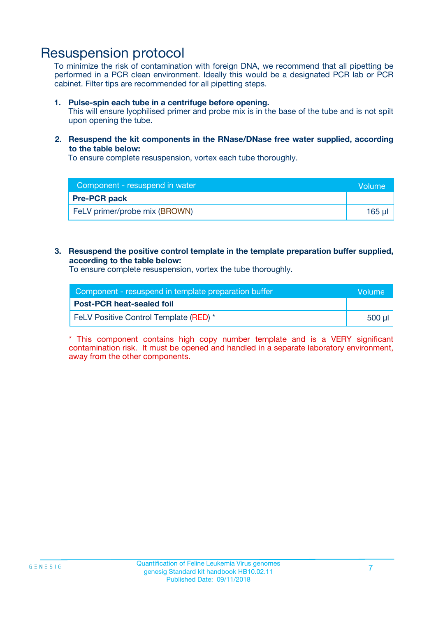### Resuspension protocol

To minimize the risk of contamination with foreign DNA, we recommend that all pipetting be performed in a PCR clean environment. Ideally this would be a designated PCR lab or PCR cabinet. Filter tips are recommended for all pipetting steps.

#### **1. Pulse-spin each tube in a centrifuge before opening.**

This will ensure lyophilised primer and probe mix is in the base of the tube and is not spilt upon opening the tube.

#### **2. Resuspend the kit components in the RNase/DNase free water supplied, according to the table below:**

To ensure complete resuspension, vortex each tube thoroughly.

| Component - resuspend in water | Wolume'     |
|--------------------------------|-------------|
| <b>Pre-PCR pack</b>            |             |
| FeLV primer/probe mix (BROWN)  | $165$ $\mu$ |

#### **3. Resuspend the positive control template in the template preparation buffer supplied, according to the table below:**

To ensure complete resuspension, vortex the tube thoroughly.

| Component - resuspend in template preparation buffer |        |
|------------------------------------------------------|--------|
| <b>Post-PCR heat-sealed foil</b>                     |        |
| FeLV Positive Control Template (RED) *               | 500 µl |

\* This component contains high copy number template and is a VERY significant contamination risk. It must be opened and handled in a separate laboratory environment, away from the other components.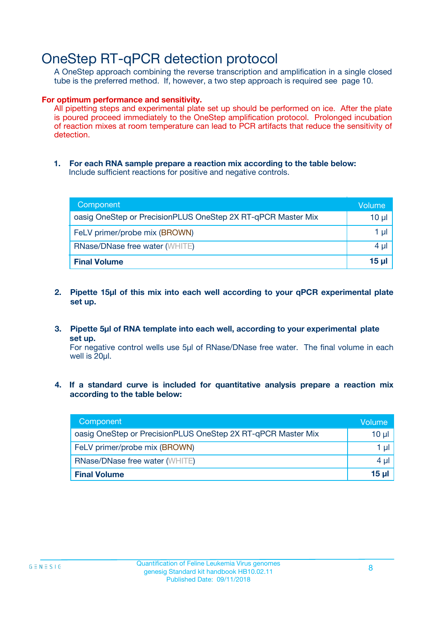## OneStep RT-qPCR detection protocol

A OneStep approach combining the reverse transcription and amplification in a single closed tube is the preferred method. If, however, a two step approach is required see page 10.

#### **For optimum performance and sensitivity.**

All pipetting steps and experimental plate set up should be performed on ice. After the plate is poured proceed immediately to the OneStep amplification protocol. Prolonged incubation of reaction mixes at room temperature can lead to PCR artifacts that reduce the sensitivity of detection.

**1. For each RNA sample prepare a reaction mix according to the table below:** Include sufficient reactions for positive and negative controls.

| Component                                                    | Volume   |
|--------------------------------------------------------------|----------|
| oasig OneStep or PrecisionPLUS OneStep 2X RT-qPCR Master Mix | 10 µl    |
| FeLV primer/probe mix (BROWN)                                | 1 µl     |
| <b>RNase/DNase free water (WHITE)</b>                        | $4 \mu$  |
| <b>Final Volume</b>                                          | $15 \mu$ |

- **2. Pipette 15µl of this mix into each well according to your qPCR experimental plate set up.**
- **3. Pipette 5µl of RNA template into each well, according to your experimental plate set up.**

For negative control wells use 5µl of RNase/DNase free water. The final volume in each well is 20ul.

**4. If a standard curve is included for quantitative analysis prepare a reaction mix according to the table below:**

| Component                                                    | Volume  |
|--------------------------------------------------------------|---------|
| oasig OneStep or PrecisionPLUS OneStep 2X RT-qPCR Master Mix | 10 µl   |
| FeLV primer/probe mix (BROWN)                                | 1 µl    |
| <b>RNase/DNase free water (WHITE)</b>                        | $4 \mu$ |
| <b>Final Volume</b>                                          | 15 µl   |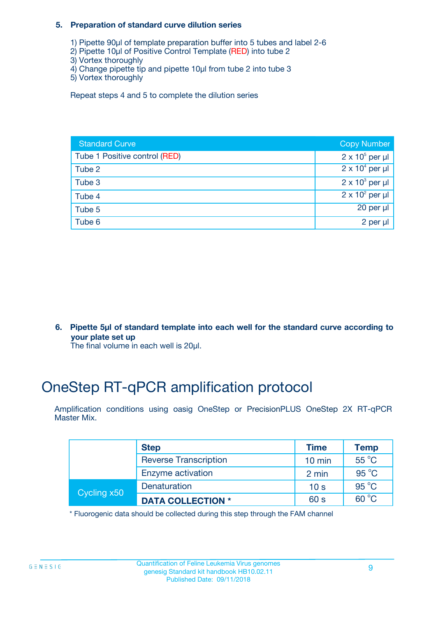#### **5. Preparation of standard curve dilution series**

- 1) Pipette 90µl of template preparation buffer into 5 tubes and label 2-6
- 2) Pipette 10µl of Positive Control Template (RED) into tube 2
- 3) Vortex thoroughly
- 4) Change pipette tip and pipette 10µl from tube 2 into tube 3
- 5) Vortex thoroughly

Repeat steps 4 and 5 to complete the dilution series

| <b>Standard Curve</b>         | <b>Copy Number</b>     |
|-------------------------------|------------------------|
| Tube 1 Positive control (RED) | $2 \times 10^5$ per µl |
| Tube 2                        | $2 \times 10^4$ per µl |
| Tube 3                        | $2 \times 10^3$ per µl |
| Tube 4                        | $2 \times 10^2$ per µl |
| Tube 5                        | 20 per $\mu$           |
| Tube 6                        | 2 per µl               |

**6. Pipette 5µl of standard template into each well for the standard curve according to your plate set up**

The final volume in each well is 20ul.

# OneStep RT-qPCR amplification protocol

Amplification conditions using oasig OneStep or PrecisionPLUS OneStep 2X RT-qPCR Master Mix.

|             | <b>Step</b>                  | <b>Time</b>      | <b>Temp</b>    |
|-------------|------------------------------|------------------|----------------|
|             | <b>Reverse Transcription</b> | $10 \text{ min}$ | $55^{\circ}$ C |
|             | Enzyme activation            | 2 min            | $95^{\circ}$ C |
| Cycling x50 | Denaturation                 | 10 <sub>s</sub>  | $95^{\circ}$ C |
|             | <b>DATA COLLECTION *</b>     | 60 s             | $60^{\circ}$ C |

\* Fluorogenic data should be collected during this step through the FAM channel